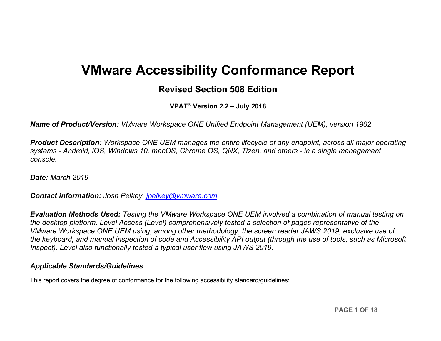# **VMware Accessibility Conformance Report**

## **Revised Section 508 Edition**

**VPAT**® **Version 2.2 – July 2018**

*Name of Product/Version: VMware Workspace ONE Unified Endpoint Management (UEM), version 1902*

*Product Description: Workspace ONE UEM manages the entire lifecycle of any endpoint, across all major operating systems - Android, iOS, Windows 10, macOS, Chrome OS, QNX, Tizen, and others - in a single management console.*

*Date: March 2019*

*Contact information: Josh Pelkey, [jpelkey@vmware.com](mailto:jpelkey@vmware.com)*

*Evaluation Methods Used: Testing the VMware Workspace ONE UEM involved a combination of manual testing on the desktop platform. Level Access (Level) comprehensively tested a selection of pages representative of the VMware Workspace ONE UEM using, among other methodology, the screen reader JAWS 2019, exclusive use of the keyboard, and manual inspection of code and Accessibility API output (through the use of tools, such as Microsoft Inspect). Level also functionally tested a typical user flow using JAWS 2019.*

#### *Applicable Standards/Guidelines*

This report covers the degree of conformance for the following accessibility standard/guidelines: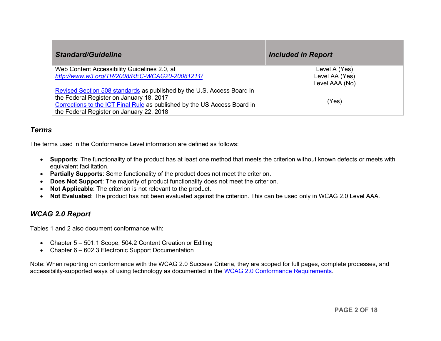| <b>Standard/Guideline</b>                                                                                                                                                                                                                  | <b>Included in Report</b>       |
|--------------------------------------------------------------------------------------------------------------------------------------------------------------------------------------------------------------------------------------------|---------------------------------|
| Web Content Accessibility Guidelines 2.0, at<br>http://www.w3.org/TR/2008/REC-WCAG20-20081211/                                                                                                                                             | Level A (Yes)<br>Level AA (Yes) |
|                                                                                                                                                                                                                                            | Level AAA (No)                  |
| Revised Section 508 standards as published by the U.S. Access Board in<br>the Federal Register on January 18, 2017<br>Corrections to the ICT Final Rule as published by the US Access Board in<br>the Federal Register on January 22, 2018 | (Yes)                           |

#### *Terms*

The terms used in the Conformance Level information are defined as follows:

- **Supports**: The functionality of the product has at least one method that meets the criterion without known defects or meets with equivalent facilitation.
- **Partially Supports**: Some functionality of the product does not meet the criterion.
- **Does Not Support**: The majority of product functionality does not meet the criterion.
- **Not Applicable**: The criterion is not relevant to the product.
- **Not Evaluated**: The product has not been evaluated against the criterion. This can be used only in WCAG 2.0 Level AAA.

#### *WCAG 2.0 Report*

Tables 1 and 2 also document conformance with:

- Chapter 5 501.1 Scope, 504.2 Content Creation or Editing
- Chapter 6 602.3 Electronic Support Documentation

Note: When reporting on conformance with the WCAG 2.0 Success Criteria, they are scoped for full pages, complete processes, and accessibility-supported ways of using technology as documented in the [WCAG 2.0 Conformance Requirements.](https://www.w3.org/TR/WCAG20/#conformance-reqs)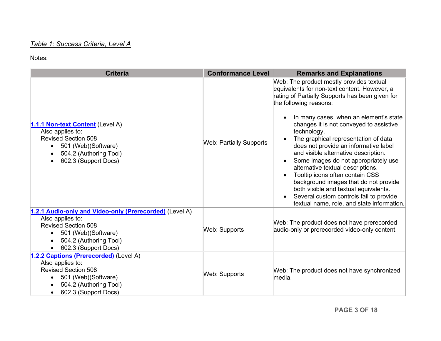#### *Table 1: Success Criteria, Level A*

<span id="page-2-0"></span>

| <b>Criteria</b>                                                                                                                                                                                     | <b>Conformance Level</b>       | <b>Remarks and Explanations</b>                                                                                                                                                                                                                                                                                                                                                                                                                                                                                                                                                                                                                                                                                                      |
|-----------------------------------------------------------------------------------------------------------------------------------------------------------------------------------------------------|--------------------------------|--------------------------------------------------------------------------------------------------------------------------------------------------------------------------------------------------------------------------------------------------------------------------------------------------------------------------------------------------------------------------------------------------------------------------------------------------------------------------------------------------------------------------------------------------------------------------------------------------------------------------------------------------------------------------------------------------------------------------------------|
| 1.1.1 Non-text Content (Level A)<br>Also applies to:<br><b>Revised Section 508</b><br>501 (Web) (Software)<br>$\bullet$<br>504.2 (Authoring Tool)<br>$\bullet$<br>602.3 (Support Docs)<br>$\bullet$ | <b>Web: Partially Supports</b> | Web: The product mostly provides textual<br>equivalents for non-text content. However, a<br>rating of Partially Supports has been given for<br>the following reasons:<br>In many cases, when an element's state<br>changes it is not conveyed to assistive<br>technology.<br>The graphical representation of data<br>does not provide an informative label<br>and visible alternative description.<br>Some images do not appropriately use<br>$\bullet$<br>alternative textual descriptions.<br>Tooltip icons often contain CSS<br>$\bullet$<br>background images that do not provide<br>both visible and textual equivalents.<br>Several custom controls fail to provide<br>$\bullet$<br>textual name, role, and state information. |
| 1.2.1 Audio-only and Video-only (Prerecorded) (Level A)<br>Also applies to:<br><b>Revised Section 508</b><br>501 (Web)(Software)<br>$\bullet$<br>504.2 (Authoring Tool)<br>602.3 (Support Docs)     | Web: Supports                  | Web: The product does not have prerecorded<br>audio-only or prerecorded video-only content.                                                                                                                                                                                                                                                                                                                                                                                                                                                                                                                                                                                                                                          |
| 1.2.2 Captions (Prerecorded) (Level A)<br>Also applies to:<br><b>Revised Section 508</b><br>501 (Web)(Software)<br>$\bullet$<br>504.2 (Authoring Tool)<br>602.3 (Support Docs)<br>$\bullet$         | Web: Supports                  | Web: The product does not have synchronized<br>media.                                                                                                                                                                                                                                                                                                                                                                                                                                                                                                                                                                                                                                                                                |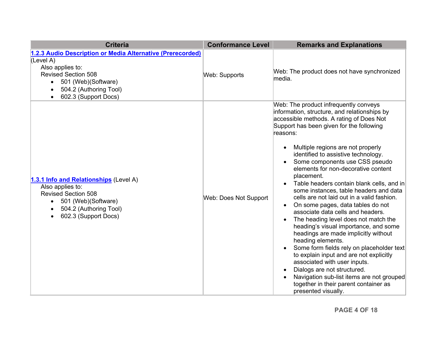<span id="page-3-0"></span>

| <b>Criteria</b>                                                                                                                                                                                                                            | <b>Conformance Level</b> | <b>Remarks and Explanations</b>                                                                                                                                                                                                                                                                                                                                                                                                                                                                                                                                                                                                                                                                                                                                                                                                                                                                                                                                                                                                      |
|--------------------------------------------------------------------------------------------------------------------------------------------------------------------------------------------------------------------------------------------|--------------------------|--------------------------------------------------------------------------------------------------------------------------------------------------------------------------------------------------------------------------------------------------------------------------------------------------------------------------------------------------------------------------------------------------------------------------------------------------------------------------------------------------------------------------------------------------------------------------------------------------------------------------------------------------------------------------------------------------------------------------------------------------------------------------------------------------------------------------------------------------------------------------------------------------------------------------------------------------------------------------------------------------------------------------------------|
| 1.2.3 Audio Description or Media Alternative (Prerecorded)<br>(Level A)<br>Also applies to:<br><b>Revised Section 508</b><br>501 (Web) (Software)<br>$\bullet$<br>504.2 (Authoring Tool)<br>$\bullet$<br>602.3 (Support Docs)<br>$\bullet$ | <b>Web: Supports</b>     | Web: The product does not have synchronized<br>media.                                                                                                                                                                                                                                                                                                                                                                                                                                                                                                                                                                                                                                                                                                                                                                                                                                                                                                                                                                                |
| 1.3.1 Info and Relationships (Level A)<br>Also applies to:<br><b>Revised Section 508</b><br>501 (Web)(Software)<br>$\bullet$<br>504.2 (Authoring Tool)<br>$\bullet$<br>602.3 (Support Docs)<br>$\bullet$                                   | Web: Does Not Support    | Web: The product infrequently conveys<br>information, structure, and relationships by<br>accessible methods. A rating of Does Not<br>Support has been given for the following<br>reasons:<br>Multiple regions are not properly<br>identified to assistive technology.<br>Some components use CSS pseudo<br>elements for non-decorative content<br>placement.<br>Table headers contain blank cells, and in<br>some instances, table headers and data<br>cells are not laid out in a valid fashion.<br>On some pages, data tables do not<br>$\bullet$<br>associate data cells and headers.<br>The heading level does not match the<br>$\bullet$<br>heading's visual importance, and some<br>headings are made implicitly without<br>heading elements.<br>Some form fields rely on placeholder text<br>to explain input and are not explicitly<br>associated with user inputs.<br>Dialogs are not structured.<br>$\bullet$<br>Navigation sub-list items are not grouped<br>together in their parent container as<br>presented visually. |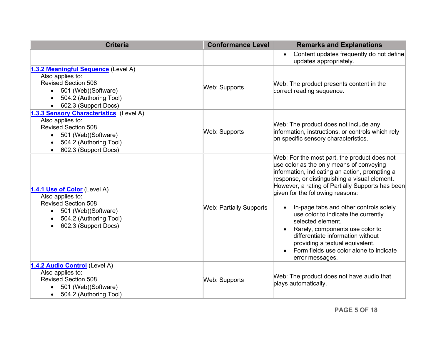<span id="page-4-0"></span>

| <b>Criteria</b>                                                                                                                                                                              | <b>Conformance Level</b>       | <b>Remarks and Explanations</b>                                                                                                                                                                                                                                                                                                                                                                                                                                                                                                                                    |
|----------------------------------------------------------------------------------------------------------------------------------------------------------------------------------------------|--------------------------------|--------------------------------------------------------------------------------------------------------------------------------------------------------------------------------------------------------------------------------------------------------------------------------------------------------------------------------------------------------------------------------------------------------------------------------------------------------------------------------------------------------------------------------------------------------------------|
|                                                                                                                                                                                              |                                | Content updates frequently do not define<br>updates appropriately.                                                                                                                                                                                                                                                                                                                                                                                                                                                                                                 |
| 1.3.2 Meaningful Sequence (Level A)<br>Also applies to:<br><b>Revised Section 508</b><br>501 (Web)(Software)<br>$\bullet$<br>504.2 (Authoring Tool)<br>602.3 (Support Docs)                  | Web: Supports                  | Web: The product presents content in the<br>correct reading sequence.                                                                                                                                                                                                                                                                                                                                                                                                                                                                                              |
| 1.3.3 Sensory Characteristics (Level A)<br>Also applies to:<br><b>Revised Section 508</b><br>501 (Web)(Software)<br>$\bullet$<br>504.2 (Authoring Tool)<br>$\bullet$<br>602.3 (Support Docs) | Web: Supports                  | Web: The product does not include any<br>information, instructions, or controls which rely<br>on specific sensory characteristics.                                                                                                                                                                                                                                                                                                                                                                                                                                 |
| 1.4.1 Use of Color (Level A)<br>Also applies to:<br><b>Revised Section 508</b><br>501 (Web)(Software)<br>$\bullet$<br>504.2 (Authoring Tool)<br>$\bullet$<br>602.3 (Support Docs)            | <b>Web: Partially Supports</b> | Web: For the most part, the product does not<br>use color as the only means of conveying<br>information, indicating an action, prompting a<br>response, or distinguishing a visual element.<br>However, a rating of Partially Supports has been<br>given for the following reasons:<br>In-page tabs and other controls solely<br>use color to indicate the currently<br>selected element.<br>Rarely, components use color to<br>differentiate information without<br>providing a textual equivalent.<br>Form fields use color alone to indicate<br>error messages. |
| 1.4.2 Audio Control (Level A)<br>Also applies to:<br><b>Revised Section 508</b><br>501 (Web)(Software)<br>504.2 (Authoring Tool)<br>$\bullet$                                                | Web: Supports                  | Web: The product does not have audio that<br>plays automatically.                                                                                                                                                                                                                                                                                                                                                                                                                                                                                                  |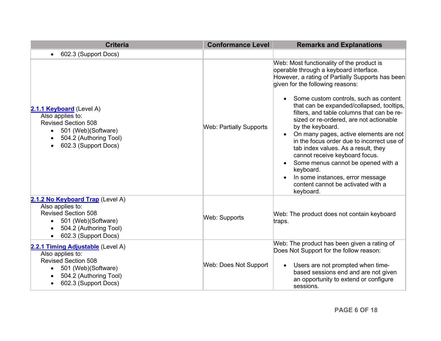<span id="page-5-1"></span><span id="page-5-0"></span>

| <b>Criteria</b>                                                                                                                                                                                    | <b>Conformance Level</b>       | <b>Remarks and Explanations</b>                                                                                                                                                                                                                                                                                                                                                                                                                                                                                                                                                                                                                                                                                                               |
|----------------------------------------------------------------------------------------------------------------------------------------------------------------------------------------------------|--------------------------------|-----------------------------------------------------------------------------------------------------------------------------------------------------------------------------------------------------------------------------------------------------------------------------------------------------------------------------------------------------------------------------------------------------------------------------------------------------------------------------------------------------------------------------------------------------------------------------------------------------------------------------------------------------------------------------------------------------------------------------------------------|
| 602.3 (Support Docs)<br>$\bullet$                                                                                                                                                                  |                                |                                                                                                                                                                                                                                                                                                                                                                                                                                                                                                                                                                                                                                                                                                                                               |
| 2.1.1 Keyboard (Level A)<br>Also applies to:<br><b>Revised Section 508</b><br>501 (Web) (Software)<br>$\bullet$<br>504.2 (Authoring Tool)<br>$\bullet$<br>602.3 (Support Docs)<br>$\bullet$        | <b>Web: Partially Supports</b> | Web: Most functionality of the product is<br>operable through a keyboard interface.<br>However, a rating of Partially Supports has been<br>given for the following reasons:<br>Some custom controls, such as content<br>$\bullet$<br>that can be expanded/collapsed, tooltips,<br>filters, and table columns that can be re-<br>sized or re-ordered, are not actionable<br>by the keyboard.<br>On many pages, active elements are not<br>$\bullet$<br>in the focus order due to incorrect use of<br>tab index values. As a result, they<br>cannot receive keyboard focus.<br>Some menus cannot be opened with a<br>$\bullet$<br>keyboard.<br>In some instances, error message<br>$\bullet$<br>content cannot be activated with a<br>keyboard. |
| 2.1.2 No Keyboard Trap (Level A)<br>Also applies to:<br><b>Revised Section 508</b><br>501 (Web)(Software)<br>$\bullet$<br>504.2 (Authoring Tool)<br>$\bullet$<br>602.3 (Support Docs)<br>$\bullet$ | <b>Web: Supports</b>           | Web: The product does not contain keyboard<br>traps.                                                                                                                                                                                                                                                                                                                                                                                                                                                                                                                                                                                                                                                                                          |
| 2.2.1 Timing Adjustable (Level A)<br>Also applies to:<br><b>Revised Section 508</b><br>501 (Web)(Software)<br>$\bullet$<br>504.2 (Authoring Tool)<br>602.3 (Support Docs)<br>$\bullet$             | Web: Does Not Support          | Web: The product has been given a rating of<br>Does Not Support for the follow reason:<br>Users are not prompted when time-<br>$\bullet$<br>based sessions end and are not given<br>an opportunity to extend or configure<br>sessions.                                                                                                                                                                                                                                                                                                                                                                                                                                                                                                        |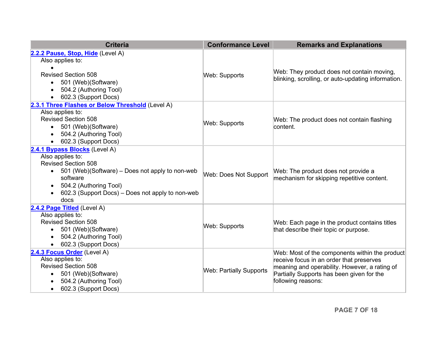<span id="page-6-1"></span><span id="page-6-0"></span>

| <b>Criteria</b>                                                                                                                                                                                                                                     | <b>Conformance Level</b>       | <b>Remarks and Explanations</b>                                                                                                                                                                                |
|-----------------------------------------------------------------------------------------------------------------------------------------------------------------------------------------------------------------------------------------------------|--------------------------------|----------------------------------------------------------------------------------------------------------------------------------------------------------------------------------------------------------------|
| 2.2.2 Pause, Stop, Hide (Level A)<br>Also applies to:<br><b>Revised Section 508</b><br>501 (Web)(Software)<br>504.2 (Authoring Tool)<br>602.3 (Support Docs)                                                                                        | <b>Web: Supports</b>           | Web: They product does not contain moving,<br>blinking, scrolling, or auto-updating information.                                                                                                               |
| 2.3.1 Three Flashes or Below Threshold (Level A)<br>Also applies to:<br><b>Revised Section 508</b><br>• 501 (Web) (Software)<br>504.2 (Authoring Tool)<br>602.3 (Support Docs)                                                                      | Web: Supports                  | Web: The product does not contain flashing<br>content.                                                                                                                                                         |
| 2.4.1 Bypass Blocks (Level A)<br>Also applies to:<br><b>Revised Section 508</b><br>• 501 (Web)(Software) – Does not apply to non-web<br>software<br>504.2 (Authoring Tool)<br>$\bullet$<br>602.3 (Support Docs) – Does not apply to non-web<br>docs | Web: Does Not Support          | Web: The product does not provide a<br>mechanism for skipping repetitive content.                                                                                                                              |
| 2.4.2 Page Titled (Level A)<br>Also applies to:<br><b>Revised Section 508</b><br>501 (Web)(Software)<br>$\bullet$<br>504.2 (Authoring Tool)<br>602.3 (Support Docs)                                                                                 | Web: Supports                  | Web: Each page in the product contains titles<br>that describe their topic or purpose.                                                                                                                         |
| 2.4.3 Focus Order (Level A)<br>Also applies to:<br><b>Revised Section 508</b><br>501 (Web)(Software)<br>$\bullet$<br>504.2 (Authoring Tool)<br>602.3 (Support Docs)                                                                                 | <b>Web: Partially Supports</b> | Web: Most of the components within the product<br>receive focus in an order that preserves<br>meaning and operability. However, a rating of<br>Partially Supports has been given for the<br>following reasons: |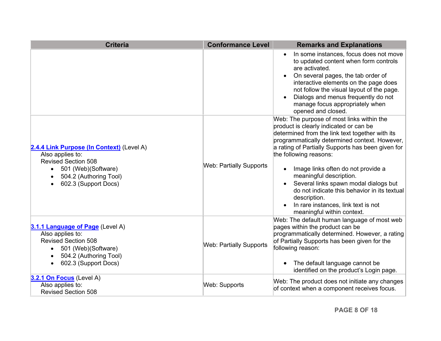<span id="page-7-1"></span><span id="page-7-0"></span>

| <b>Criteria</b>                                                                                                                                                                                | <b>Conformance Level</b>       | <b>Remarks and Explanations</b>                                                                                                                                                                                                                                                                                                                                                                                                                                                                                       |
|------------------------------------------------------------------------------------------------------------------------------------------------------------------------------------------------|--------------------------------|-----------------------------------------------------------------------------------------------------------------------------------------------------------------------------------------------------------------------------------------------------------------------------------------------------------------------------------------------------------------------------------------------------------------------------------------------------------------------------------------------------------------------|
|                                                                                                                                                                                                |                                | In some instances, focus does not move<br>$\bullet$<br>to updated content when form controls<br>are activated.<br>On several pages, the tab order of<br>interactive elements on the page does<br>not follow the visual layout of the page.<br>Dialogs and menus frequently do not<br>manage focus appropriately when<br>opened and closed.                                                                                                                                                                            |
| 2.4.4 Link Purpose (In Context) (Level A)<br>Also applies to:<br><b>Revised Section 508</b><br>501 (Web)(Software)<br>$\bullet$<br>504.2 (Authoring Tool)<br>602.3 (Support Docs)<br>$\bullet$ | <b>Web: Partially Supports</b> | Web: The purpose of most links within the<br>product is clearly indicated or can be<br>determined from the link text together with its<br>programmatically determined context. However,<br>a rating of Partially Supports has been given for<br>the following reasons:<br>Image links often do not provide a<br>meaningful description.<br>Several links spawn modal dialogs but<br>do not indicate this behavior in its textual<br>description.<br>In rare instances, link text is not<br>meaningful within context. |
| 3.1.1 Language of Page (Level A)<br>Also applies to:<br><b>Revised Section 508</b><br>501 (Web)(Software)<br>504.2 (Authoring Tool)<br>$\bullet$<br>602.3 (Support Docs)<br>$\bullet$          | <b>Web: Partially Supports</b> | Web: The default human language of most web<br>pages within the product can be<br>programmatically determined. However, a rating<br>of Partially Supports has been given for the<br>following reason:<br>The default language cannot be<br>identified on the product's Login page.                                                                                                                                                                                                                                    |
| 3.2.1 On Focus (Level A)<br>Also applies to:<br><b>Revised Section 508</b>                                                                                                                     | <b>Web: Supports</b>           | Web: The product does not initiate any changes<br>of context when a component receives focus.                                                                                                                                                                                                                                                                                                                                                                                                                         |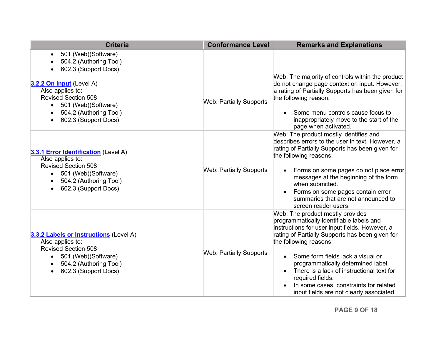<span id="page-8-2"></span><span id="page-8-1"></span><span id="page-8-0"></span>

| <b>Criteria</b>                                                                                                                                                    | <b>Conformance Level</b>       | <b>Remarks and Explanations</b>                                                                                                                                                                                                                                                                                                                                                                                                                            |
|--------------------------------------------------------------------------------------------------------------------------------------------------------------------|--------------------------------|------------------------------------------------------------------------------------------------------------------------------------------------------------------------------------------------------------------------------------------------------------------------------------------------------------------------------------------------------------------------------------------------------------------------------------------------------------|
| 501 (Web)(Software)<br>504.2 (Authoring Tool)<br>602.3 (Support Docs)                                                                                              |                                |                                                                                                                                                                                                                                                                                                                                                                                                                                                            |
| 3.2.2 On Input (Level A)<br>Also applies to:<br><b>Revised Section 508</b><br>501 (Web)(Software)<br>504.2 (Authoring Tool)<br>602.3 (Support Docs)                | <b>Web: Partially Supports</b> | Web: The majority of controls within the product<br>do not change page context on input. However,<br>a rating of Partially Supports has been given for<br>the following reason:<br>Some menu controls cause focus to<br>inappropriately move to the start of the<br>page when activated.                                                                                                                                                                   |
| 3.3.1 Error Identification (Level A)<br>Also applies to:<br><b>Revised Section 508</b><br>• 501 (Web) (Software)<br>504.2 (Authoring Tool)<br>602.3 (Support Docs) | <b>Web: Partially Supports</b> | Web: The product mostly identifies and<br>describes errors to the user in text. However, a<br>rating of Partially Supports has been given for<br>the following reasons:<br>Forms on some pages do not place error<br>messages at the beginning of the form<br>when submitted.<br>Forms on some pages contain error<br>summaries that are not announced to<br>screen reader users.                                                                          |
| 3.3.2 Labels or Instructions (Level A)<br>Also applies to:<br><b>Revised Section 508</b><br>501 (Web)(Software)<br>504.2 (Authoring Tool)<br>602.3 (Support Docs)  | <b>Web: Partially Supports</b> | Web: The product mostly provides<br>programmatically identifiable labels and<br>instructions for user input fields. However, a<br>rating of Partially Supports has been given for<br>the following reasons:<br>Some form fields lack a visual or<br>programmatically determined label.<br>There is a lack of instructional text for<br>$\bullet$<br>required fields.<br>In some cases, constraints for related<br>input fields are not clearly associated. |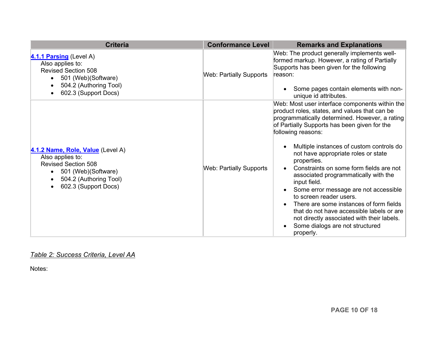<span id="page-9-0"></span>

| <b>Criteria</b>                                                                                                                                                           | <b>Conformance Level</b>       | <b>Remarks and Explanations</b>                                                                                                                                                                                                                                                                                                                                                                                                                                                                                                                                                                                                                                                        |
|---------------------------------------------------------------------------------------------------------------------------------------------------------------------------|--------------------------------|----------------------------------------------------------------------------------------------------------------------------------------------------------------------------------------------------------------------------------------------------------------------------------------------------------------------------------------------------------------------------------------------------------------------------------------------------------------------------------------------------------------------------------------------------------------------------------------------------------------------------------------------------------------------------------------|
| 4.1.1 Parsing (Level A)<br>Also applies to:<br><b>Revised Section 508</b><br>501 (Web) (Software)<br>504.2 (Authoring Tool)<br>602.3 (Support Docs)                       | <b>Web: Partially Supports</b> | Web: The product generally implements well-<br>formed markup. However, a rating of Partially<br>Supports has been given for the following<br>reason:<br>Some pages contain elements with non-<br>unique id attributes.                                                                                                                                                                                                                                                                                                                                                                                                                                                                 |
| 4.1.2 Name, Role, Value (Level A)<br>Also applies to:<br><b>Revised Section 508</b><br>501 (Web)(Software)<br>504.2 (Authoring Tool)<br>$\bullet$<br>602.3 (Support Docs) | <b>Web: Partially Supports</b> | Web: Most user interface components within the<br>product roles, states, and values that can be<br>programmatically determined. However, a rating<br>of Partially Supports has been given for the<br>following reasons:<br>Multiple instances of custom controls do<br>not have appropriate roles or state<br>properties.<br>Constraints on some form fields are not<br>associated programmatically with the<br>input field.<br>Some error message are not accessible<br>to screen reader users.<br>There are some instances of form fields<br>that do not have accessible labels or are<br>not directly associated with their labels.<br>Some dialogs are not structured<br>properly. |

## <span id="page-9-1"></span>*Table 2: Success Criteria, Level AA*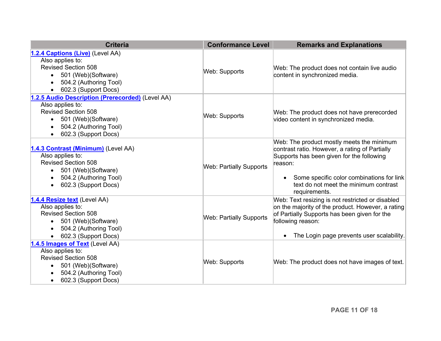<span id="page-10-1"></span><span id="page-10-0"></span>

| <b>Criteria</b>                                                                                                                                                                                       | <b>Conformance Level</b>       | <b>Remarks and Explanations</b>                                                                                                                                                                                                                            |
|-------------------------------------------------------------------------------------------------------------------------------------------------------------------------------------------------------|--------------------------------|------------------------------------------------------------------------------------------------------------------------------------------------------------------------------------------------------------------------------------------------------------|
| 1.2.4 Captions (Live) (Level AA)<br>Also applies to:<br><b>Revised Section 508</b><br>501 (Web)(Software)<br>$\bullet$<br>504.2 (Authoring Tool)<br>$\bullet$<br>602.3 (Support Docs)                 | Web: Supports                  | Web: The product does not contain live audio<br>content in synchronized media.                                                                                                                                                                             |
| 1.2.5 Audio Description (Prerecorded) (Level AA)<br>Also applies to:<br><b>Revised Section 508</b><br>501 (Web)(Software)<br>$\bullet$<br>504.2 (Authoring Tool)<br>$\bullet$<br>602.3 (Support Docs) | Web: Supports                  | Web: The product does not have prerecorded<br>video content in synchronized media.                                                                                                                                                                         |
| 1.4.3 Contrast (Minimum) (Level AA)<br>Also applies to:<br><b>Revised Section 508</b><br>501 (Web)(Software)<br>$\bullet$<br>504.2 (Authoring Tool)<br>602.3 (Support Docs)<br>$\bullet$              | <b>Web: Partially Supports</b> | Web: The product mostly meets the minimum<br>contrast ratio. However, a rating of Partially<br>Supports has been given for the following<br>reason:<br>Some specific color combinations for link<br>text do not meet the minimum contrast<br>requirements. |
| 1.4.4 Resize text (Level AA)<br>Also applies to:<br><b>Revised Section 508</b><br>501 (Web)(Software)<br>$\bullet$<br>504.2 (Authoring Tool)<br>$\bullet$<br>602.3 (Support Docs)                     | <b>Web: Partially Supports</b> | Web: Text resizing is not restricted or disabled<br>on the majority of the product. However, a rating<br>of Partially Supports has been given for the<br>following reason:<br>The Login page prevents user scalability.                                    |
| 1.4.5 Images of Text (Level AA)<br>Also applies to:<br><b>Revised Section 508</b><br>501 (Web)(Software)<br>$\bullet$<br>504.2 (Authoring Tool)<br>602.3 (Support Docs)<br>$\bullet$                  | <b>Web: Supports</b>           | Web: The product does not have images of text.                                                                                                                                                                                                             |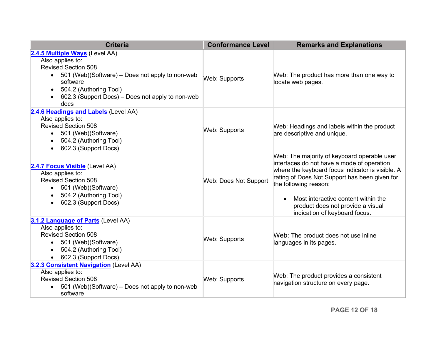<span id="page-11-0"></span>

| <b>Criteria</b>                                                                                                                                                                                                                                                 | <b>Conformance Level</b> | <b>Remarks and Explanations</b>                                                                                                                                                                                                                                                                                                      |
|-----------------------------------------------------------------------------------------------------------------------------------------------------------------------------------------------------------------------------------------------------------------|--------------------------|--------------------------------------------------------------------------------------------------------------------------------------------------------------------------------------------------------------------------------------------------------------------------------------------------------------------------------------|
| 2.4.5 Multiple Ways (Level AA)<br>Also applies to:<br><b>Revised Section 508</b><br>501 (Web)(Software) – Does not apply to non-web<br>$\bullet$<br>software<br>504.2 (Authoring Tool)<br>$\bullet$<br>602.3 (Support Docs) – Does not apply to non-web<br>docs | Web: Supports            | Web: The product has more than one way to<br>locate web pages.                                                                                                                                                                                                                                                                       |
| 2.4.6 Headings and Labels (Level AA)<br>Also applies to:<br><b>Revised Section 508</b><br>501 (Web)(Software)<br>$\bullet$<br>504.2 (Authoring Tool)<br>$\bullet$<br>602.3 (Support Docs)<br>$\bullet$                                                          | Web: Supports            | Web: Headings and labels within the product<br>are descriptive and unique.                                                                                                                                                                                                                                                           |
| 2.4.7 Focus Visible (Level AA)<br>Also applies to:<br><b>Revised Section 508</b><br>• 501 (Web) (Software)<br>504.2 (Authoring Tool)<br>602.3 (Support Docs)<br>$\bullet$                                                                                       | Web: Does Not Support    | Web: The majority of keyboard operable user<br>interfaces do not have a mode of operation<br>where the keyboard focus indicator is visible. A<br>rating of Does Not Support has been given for<br>the following reason:<br>Most interactive content within the<br>product does not provide a visual<br>indication of keyboard focus. |
| 3.1.2 Language of Parts (Level AA)<br>Also applies to:<br><b>Revised Section 508</b><br>• 501 (Web) (Software)<br>504.2 (Authoring Tool)<br>602.3 (Support Docs)                                                                                                | <b>Web: Supports</b>     | Web: The product does not use inline<br>languages in its pages.                                                                                                                                                                                                                                                                      |
| 3.2.3 Consistent Navigation (Level AA)<br>Also applies to:<br><b>Revised Section 508</b><br>501 (Web) (Software) – Does not apply to non-web<br>software                                                                                                        | <b>Web: Supports</b>     | Web: The product provides a consistent<br>navigation structure on every page.                                                                                                                                                                                                                                                        |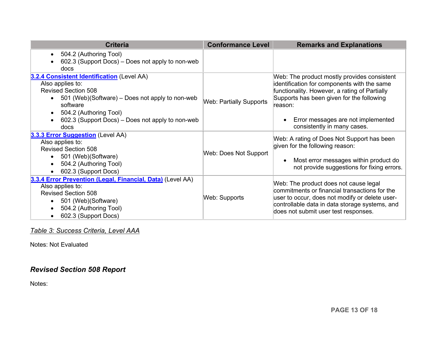<span id="page-12-1"></span><span id="page-12-0"></span>

| <b>Criteria</b>                                                                                                                                                                                                                                                                          | <b>Conformance Level</b>       | <b>Remarks and Explanations</b>                                                                                                                                                                                                                                          |
|------------------------------------------------------------------------------------------------------------------------------------------------------------------------------------------------------------------------------------------------------------------------------------------|--------------------------------|--------------------------------------------------------------------------------------------------------------------------------------------------------------------------------------------------------------------------------------------------------------------------|
| 504.2 (Authoring Tool)<br>$\bullet$<br>602.3 (Support Docs) – Does not apply to non-web<br>$\bullet$<br>docs                                                                                                                                                                             |                                |                                                                                                                                                                                                                                                                          |
| 3.2.4 Consistent Identification (Level AA)<br>Also applies to:<br><b>Revised Section 508</b><br>501 (Web)(Software) – Does not apply to non-web<br>$\bullet$<br>software<br>504.2 (Authoring Tool)<br>$\bullet$<br>602.3 (Support Docs) – Does not apply to non-web<br>$\bullet$<br>docs | <b>Web: Partially Supports</b> | Web: The product mostly provides consistent<br>identification for components with the same<br>functionality. However, a rating of Partially<br>Supports has been given for the following<br>reason:<br>Error messages are not implemented<br>consistently in many cases. |
| 3.3.3 Error Suggestion (Level AA)<br>Also applies to:<br><b>Revised Section 508</b><br>501 (Web) (Software)<br>$\bullet$<br>504.2 (Authoring Tool)<br>$\bullet$<br>602.3 (Support Docs)                                                                                                  | Web: Does Not Support          | Web: A rating of Does Not Support has been<br>given for the following reason:<br>Most error messages within product do<br>not provide suggestions for fixing errors.                                                                                                     |
| 3.3.4 Error Prevention (Legal, Financial, Data) (Level AA)<br>Also applies to:<br><b>Revised Section 508</b><br>501 (Web) (Software)<br>$\bullet$<br>504.2 (Authoring Tool)<br>$\bullet$<br>602.3 (Support Docs)<br>٠                                                                    | Web: Supports                  | Web: The product does not cause legal<br>$\,$ commitments or financial transactions for the<br>user to occur, does not modify or delete user-<br>controllable data in data storage systems, and<br>does not submit user test responses.                                  |

## *Table 3: Success Criteria, Level AAA*

Notes: Not Evaluated

# *Revised Section 508 Report*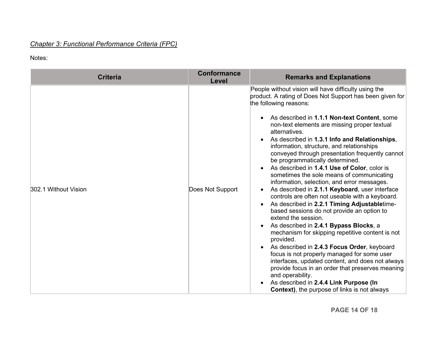## *Chapter 3: Functional Performance Criteria (FPC)*

| <b>Criteria</b>      | <b>Conformance</b><br>Level | <b>Remarks and Explanations</b>                                                                                                                                                                                                                                                                                                                                                                                                                                                                                                                                                                                                                                                                                                                                                                                                                                                                                                                                                                                                                                                                                                                                                                                                                              |
|----------------------|-----------------------------|--------------------------------------------------------------------------------------------------------------------------------------------------------------------------------------------------------------------------------------------------------------------------------------------------------------------------------------------------------------------------------------------------------------------------------------------------------------------------------------------------------------------------------------------------------------------------------------------------------------------------------------------------------------------------------------------------------------------------------------------------------------------------------------------------------------------------------------------------------------------------------------------------------------------------------------------------------------------------------------------------------------------------------------------------------------------------------------------------------------------------------------------------------------------------------------------------------------------------------------------------------------|
| 302.1 Without Vision | Does Not Support            | People without vision will have difficulty using the<br>product. A rating of Does Not Support has been given for<br>the following reasons:<br>As described in 1.1.1 Non-text Content, some<br>non-text elements are missing proper textual<br>alternatives.<br>As described in 1.3.1 Info and Relationships,<br>information, structure, and relationships<br>conveyed through presentation frequently cannot<br>be programmatically determined.<br>As described in 1.4.1 Use of Color, color is<br>sometimes the sole means of communicating<br>information, selection, and error messages.<br>As described in 2.1.1 Keyboard, user interface<br>controls are often not useable with a keyboard.<br>As described in 2.2.1 Timing Adjustabletime-<br>based sessions do not provide an option to<br>extend the session.<br>As described in 2.4.1 Bypass Blocks, a<br>mechanism for skipping repetitive content is not<br>provided.<br>As described in 2.4.3 Focus Order, keyboard<br>focus is not properly managed for some user<br>interfaces, updated content, and does not always<br>provide focus in an order that preserves meaning<br>and operability.<br>As described in 2.4.4 Link Purpose (In<br><b>Context)</b> , the purpose of links is not always |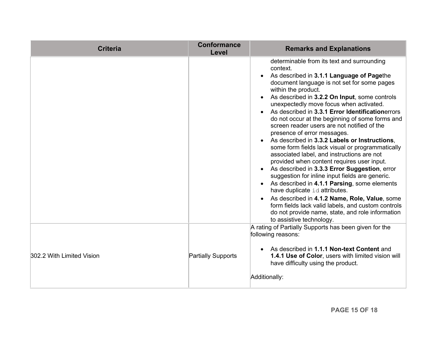| <b>Criteria</b>           | <b>Conformance</b><br>Level | <b>Remarks and Explanations</b>                                                                                                                                                                                                                                                                                                                                                                                                                                                                                                                                                                                                                                                                                                                                                                                                                                                                                                                                                                                                         |  |
|---------------------------|-----------------------------|-----------------------------------------------------------------------------------------------------------------------------------------------------------------------------------------------------------------------------------------------------------------------------------------------------------------------------------------------------------------------------------------------------------------------------------------------------------------------------------------------------------------------------------------------------------------------------------------------------------------------------------------------------------------------------------------------------------------------------------------------------------------------------------------------------------------------------------------------------------------------------------------------------------------------------------------------------------------------------------------------------------------------------------------|--|
|                           |                             | determinable from its text and surrounding<br>context.<br>As described in 3.1.1 Language of Pagethe<br>document language is not set for some pages<br>within the product.<br>As described in 3.2.2 On Input, some controls<br>unexpectedly move focus when activated.<br>As described in 3.3.1 Error Identificationerrors<br>do not occur at the beginning of some forms and<br>screen reader users are not notified of the<br>presence of error messages.<br>As described in 3.3.2 Labels or Instructions,<br>some form fields lack visual or programmatically<br>associated label, and instructions are not<br>provided when content requires user input.<br>As described in 3.3.3 Error Suggestion, error<br>suggestion for inline input fields are generic.<br>As described in 4.1.1 Parsing, some elements<br>have duplicate id attributes.<br>As described in 4.1.2 Name, Role, Value, some<br>form fields lack valid labels, and custom controls<br>do not provide name, state, and role information<br>to assistive technology. |  |
| 302.2 With Limited Vision | <b>Partially Supports</b>   | A rating of Partially Supports has been given for the<br>following reasons:<br>As described in 1.1.1 Non-text Content and<br>1.4.1 Use of Color, users with limited vision will<br>have difficulty using the product.<br>Additionally:                                                                                                                                                                                                                                                                                                                                                                                                                                                                                                                                                                                                                                                                                                                                                                                                  |  |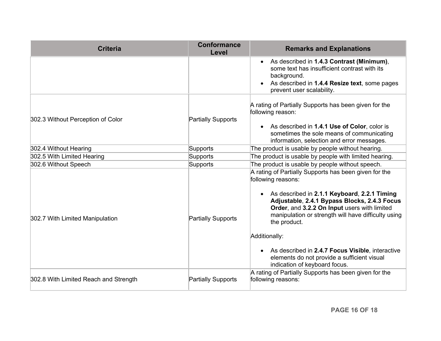| <b>Criteria</b>                       | <b>Conformance</b><br>Level | <b>Remarks and Explanations</b>                                                                                                                                                                                                                                                                                                                                                                                                                           |  |
|---------------------------------------|-----------------------------|-----------------------------------------------------------------------------------------------------------------------------------------------------------------------------------------------------------------------------------------------------------------------------------------------------------------------------------------------------------------------------------------------------------------------------------------------------------|--|
|                                       |                             | As described in 1.4.3 Contrast (Minimum),<br>some text has insufficient contrast with its<br>background.<br>As described in 1.4.4 Resize text, some pages<br>prevent user scalability.                                                                                                                                                                                                                                                                    |  |
| 302.3 Without Perception of Color     | <b>Partially Supports</b>   | A rating of Partially Supports has been given for the<br>following reason:<br>• As described in 1.4.1 Use of Color, color is<br>sometimes the sole means of communicating<br>information, selection and error messages.                                                                                                                                                                                                                                   |  |
| 302.4 Without Hearing                 | Supports                    | The product is usable by people without hearing.                                                                                                                                                                                                                                                                                                                                                                                                          |  |
| 302.5 With Limited Hearing            | Supports                    | The product is usable by people with limited hearing.                                                                                                                                                                                                                                                                                                                                                                                                     |  |
| 302.6 Without Speech                  | Supports                    | The product is usable by people without speech.                                                                                                                                                                                                                                                                                                                                                                                                           |  |
| 302.7 With Limited Manipulation       | <b>Partially Supports</b>   | A rating of Partially Supports has been given for the<br>following reasons:<br>• As described in 2.1.1 Keyboard, 2.2.1 Timing<br>Adjustable, 2.4.1 Bypass Blocks, 2.4.3 Focus<br>Order, and 3.2.2 On Input users with limited<br>manipulation or strength will have difficulty using<br>the product.<br>Additionally:<br>As described in 2.4.7 Focus Visible, interactive<br>elements do not provide a sufficient visual<br>indication of keyboard focus. |  |
| 302.8 With Limited Reach and Strength | <b>Partially Supports</b>   | A rating of Partially Supports has been given for the<br>following reasons:                                                                                                                                                                                                                                                                                                                                                                               |  |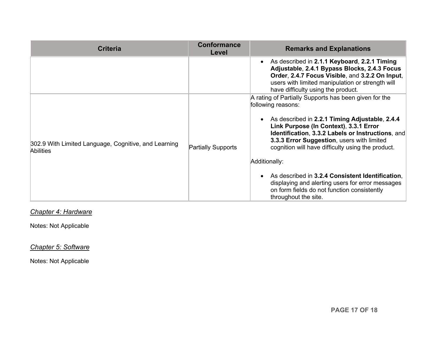| <b>Criteria</b>                                                          | <b>Conformance</b><br>Level | <b>Remarks and Explanations</b>                                                                                                                                                                                                                                                                                                                                                                                                                                                                                                 |  |
|--------------------------------------------------------------------------|-----------------------------|---------------------------------------------------------------------------------------------------------------------------------------------------------------------------------------------------------------------------------------------------------------------------------------------------------------------------------------------------------------------------------------------------------------------------------------------------------------------------------------------------------------------------------|--|
|                                                                          |                             | As described in 2.1.1 Keyboard, 2.2.1 Timing<br>Adjustable, 2.4.1 Bypass Blocks, 2.4.3 Focus<br>Order, 2.4.7 Focus Visible, and 3.2.2 On Input,<br>users with limited manipulation or strength will<br>have difficulty using the product.                                                                                                                                                                                                                                                                                       |  |
| 302.9 With Limited Language, Cognitive, and Learning<br><b>Abilities</b> | <b>Partially Supports</b>   | A rating of Partially Supports has been given for the<br>following reasons:<br>As described in 2.2.1 Timing Adjustable, 2.4.4<br>Link Purpose (In Context), 3.3.1 Error<br>Identification, 3.3.2 Labels or Instructions, and<br>3.3.3 Error Suggestion, users with limited<br>cognition will have difficulty using the product.<br>Additionally:<br>As described in 3.2.4 Consistent Identification.<br>displaying and alerting users for error messages<br>on form fields do not function consistently<br>throughout the site. |  |

*Chapter 4: Hardware*

Notes: Not Applicable

*Chapter 5: Software*

Notes: Not Applicable